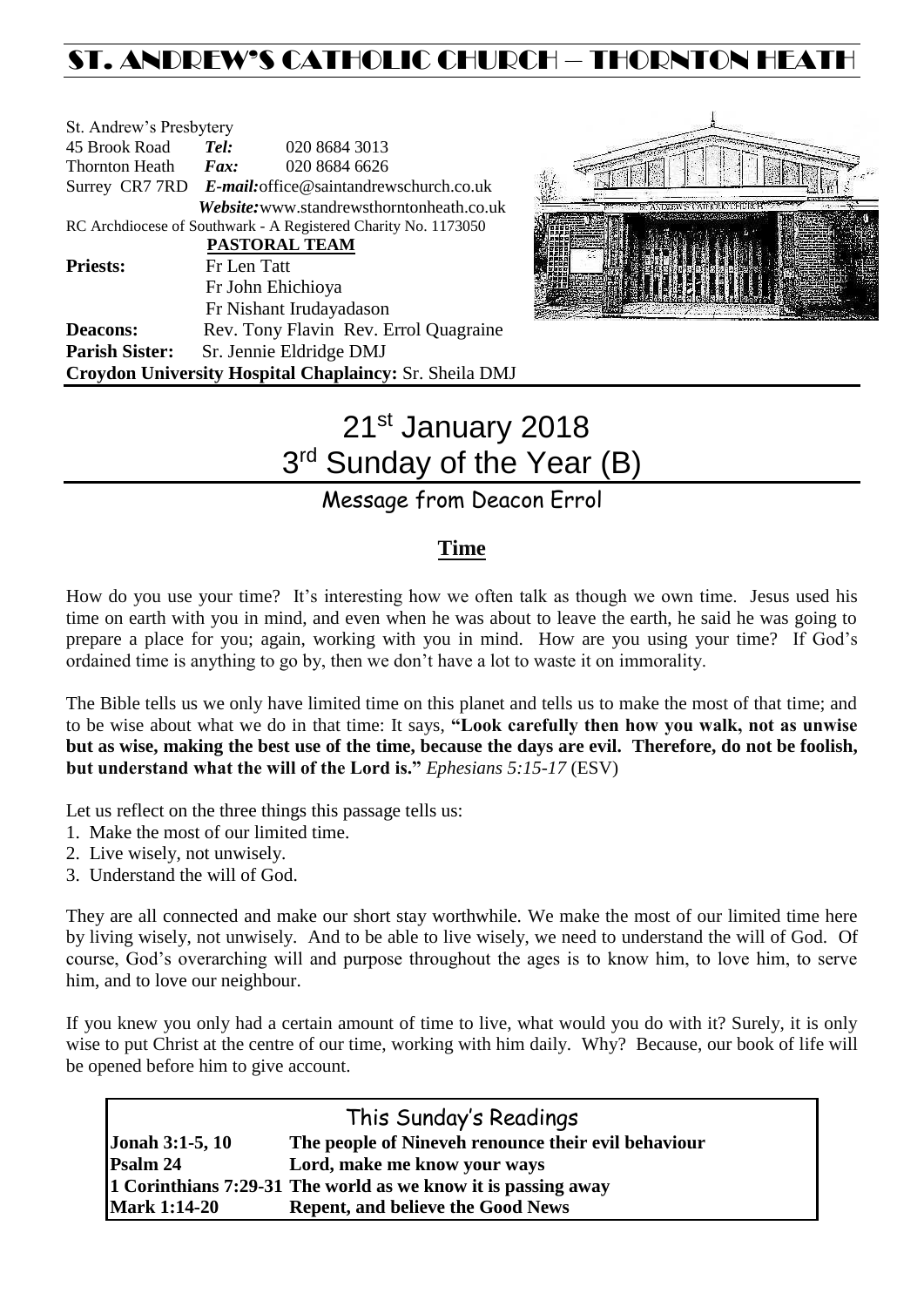## ST. ANDREW'S CATHOLIC CHURCH – THORNTON HEAT

| St. Andrew's Presbytery |                                                        |                                                                |  |  |  |
|-------------------------|--------------------------------------------------------|----------------------------------------------------------------|--|--|--|
| 45 Brook Road           | Tel:                                                   | 020 8684 3013                                                  |  |  |  |
| Thornton Heath          | $\boldsymbol{F}$ <i>ax</i> :                           | 020 8684 6626                                                  |  |  |  |
|                         | Surrey CR7 7RD E-mail: office@saintandrewschurch.co.uk |                                                                |  |  |  |
|                         |                                                        | <i>Website:</i> www.standrewsthorntonheath.co.uk               |  |  |  |
|                         |                                                        | RC Archdiocese of Southwark - A Registered Charity No. 1173050 |  |  |  |
| PASTORAL TEAM           |                                                        |                                                                |  |  |  |
| <b>Priests:</b>         | Fr Len Tatt                                            |                                                                |  |  |  |
|                         | Fr John Ehichioya                                      |                                                                |  |  |  |
|                         |                                                        | Fr Nishant Irudayadason                                        |  |  |  |
| <b>Deacons:</b>         |                                                        | Rev. Tony Flavin Rev. Errol Quagraine                          |  |  |  |
| <b>Parish Sister:</b>   | Sr. Jennie Eldridge DMJ                                |                                                                |  |  |  |
|                         |                                                        | Croydon University Hospital Chaplaincy: Sr. Sheila DMJ         |  |  |  |



# 21st January 2018 3<sup>rd</sup> Sunday of the Year (B)

## Message from Deacon Errol

### **Time**

How do you use your time? It's interesting how we often talk as though we own time. Jesus used his time on earth with you in mind, and even when he was about to leave the earth, he said he was going to prepare a place for you; again, working with you in mind. How are you using your time? If God's ordained time is anything to go by, then we don't have a lot to waste it on immorality.

The Bible tells us we only have limited time on this planet and tells us to make the most of that time; and to be wise about what we do in that time: It says, **"Look carefully then how you walk, not as unwise but as wise, making the best use of the time, because the days are evil. Therefore, do not be foolish, but understand what the will of the Lord is."** *Ephesians 5:15-17* (ESV)

Let us reflect on the three things this passage tells us:

- 1. Make the most of our limited time.
- 2. Live wisely, not unwisely.
- 3. Understand the will of God.

They are all connected and make our short stay worthwhile. We make the most of our limited time here by living wisely, not unwisely. And to be able to live wisely, we need to understand the will of God. Of course, God's overarching will and purpose throughout the ages is to know him, to love him, to serve him, and to love our neighbour.

If you knew you only had a certain amount of time to live, what would you do with it? Surely, it is only wise to put Christ at the centre of our time, working with him daily. Why? Because, our book of life will be opened before him to give account.

| This Sunday's Readings |                                                               |  |  |  |
|------------------------|---------------------------------------------------------------|--|--|--|
| <b>Jonah 3:1-5, 10</b> | The people of Nineveh renounce their evil behaviour           |  |  |  |
| Psalm 24               | Lord, make me know your ways                                  |  |  |  |
|                        | 1 Corinthians 7:29-31 The world as we know it is passing away |  |  |  |
| <b>Mark 1:14-20</b>    | <b>Repent, and believe the Good News</b>                      |  |  |  |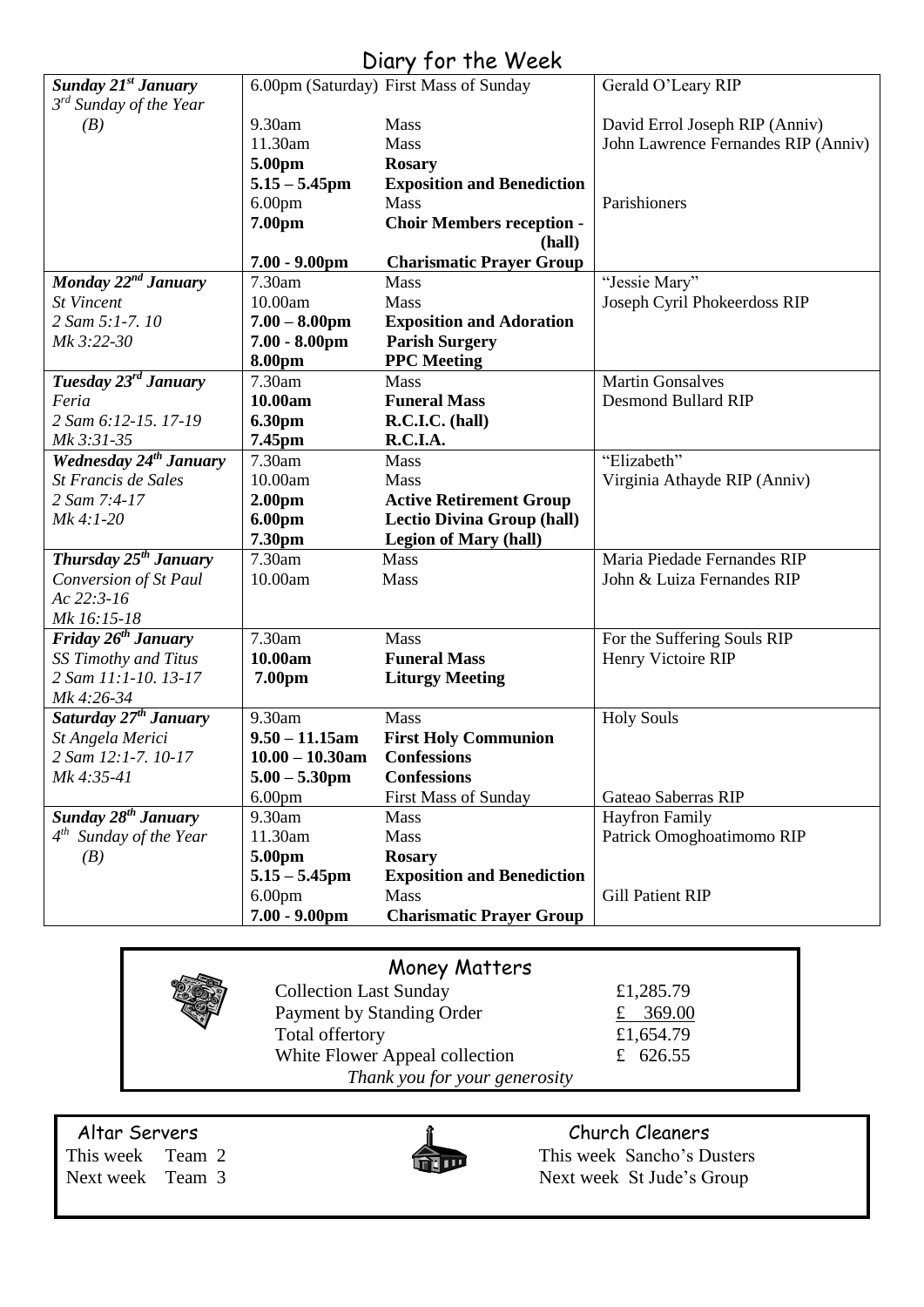## Diary for the Week

| <b>Sunday 21st January</b>        |                    | 6.00pm (Saturday) First Mass of Sunday | Gerald O'Leary RIP                  |  |
|-----------------------------------|--------------------|----------------------------------------|-------------------------------------|--|
| $3^{rd}$ Sunday of the Year       |                    |                                        |                                     |  |
| (B)                               | 9.30am             | <b>Mass</b>                            | David Errol Joseph RIP (Anniv)      |  |
|                                   | 11.30am            | Mass                                   | John Lawrence Fernandes RIP (Anniv) |  |
|                                   | 5.00pm             | <b>Rosary</b>                          |                                     |  |
|                                   | $5.15 - 5.45$ pm   | <b>Exposition and Benediction</b>      |                                     |  |
|                                   | 6.00 <sub>pm</sub> | Mass                                   | Parishioners                        |  |
|                                   | 7.00pm             | <b>Choir Members reception -</b>       |                                     |  |
|                                   |                    | (hall)                                 |                                     |  |
|                                   | $7.00 - 9.00$ pm   | <b>Charismatic Prayer Group</b>        |                                     |  |
| Monday 22 <sup>nd</sup> January   | 7.30am             | Mass                                   | "Jessie Mary"                       |  |
| <b>St Vincent</b>                 | 10.00am            | <b>Mass</b>                            | Joseph Cyril Phokeerdoss RIP        |  |
| 2 Sam 5:1-7.10                    | $7.00 - 8.00$ pm   | <b>Exposition and Adoration</b>        |                                     |  |
| Mk 3:22-30                        | $7.00 - 8.00$ pm   | <b>Parish Surgery</b>                  |                                     |  |
|                                   | 8.00pm             | <b>PPC</b> Meeting                     |                                     |  |
| Tuesday 23rd January              | 7.30am             | <b>Mass</b>                            | <b>Martin Gonsalves</b>             |  |
| Feria                             | 10.00am            | <b>Funeral Mass</b>                    | <b>Desmond Bullard RIP</b>          |  |
| 2 Sam 6:12-15, 17-19              | <b>6.30pm</b>      | R.C.I.C. (hall)                        |                                     |  |
| Mk 3:31-35                        | 7.45pm             | R.C.I.A.                               |                                     |  |
| <b>Wednesday 24th January</b>     | 7.30am             | Mass                                   | "Elizabeth"                         |  |
| St Francis de Sales               | 10.00am            | Mass                                   | Virginia Athayde RIP (Anniv)        |  |
| 2 Sam 7:4-17                      | 2.00 <sub>pm</sub> | <b>Active Retirement Group</b>         |                                     |  |
| Mk 4:1-20                         | 6.00pm             | <b>Lectio Divina Group (hall)</b>      |                                     |  |
|                                   | 7.30pm             | <b>Legion of Mary (hall)</b>           |                                     |  |
| Thursday 25 <sup>th</sup> January | 7.30am             | Mass                                   | Maria Piedade Fernandes RIP         |  |
| Conversion of St Paul             | 10.00am            | Mass                                   | John & Luiza Fernandes RIP          |  |
| Ac 22:3-16                        |                    |                                        |                                     |  |
| Mk 16:15-18                       |                    |                                        |                                     |  |
| Friday $26^{th}$ January          | 7.30am             | Mass                                   | For the Suffering Souls RIP         |  |
| SS Timothy and Titus              | 10.00am            | <b>Funeral Mass</b>                    | Henry Victoire RIP                  |  |
| 2 Sam 11:1-10. 13-17              | 7.00pm             | <b>Liturgy Meeting</b>                 |                                     |  |
| Mk 4:26-34                        |                    |                                        |                                     |  |
| Saturday 27 <sup>th</sup> January | 9.30am             | Mass                                   | <b>Holy Souls</b>                   |  |
| St Angela Merici                  | $9.50 - 11.15$ am  | <b>First Holy Communion</b>            |                                     |  |
| 2 Sam 12:1-7, 10-17               | $10.00 - 10.30$ am | <b>Confessions</b>                     |                                     |  |
| Mk 4:35-41                        | $5.00 - 5.30$ pm   | <b>Confessions</b>                     |                                     |  |
|                                   | 6.00 <sub>pm</sub> | <b>First Mass of Sunday</b>            | Gateao Saberras RIP                 |  |
| Sunday 28 <sup>th</sup> January   | 9.30am             | Mass                                   | <b>Hayfron Family</b>               |  |
| $4^{th}$ Sunday of the Year       | 11.30am            | Mass                                   | Patrick Omoghoatimomo RIP           |  |
| (B)                               | 5.00pm             | <b>Rosary</b>                          |                                     |  |
|                                   | $5.15 - 5.45$ pm   | <b>Exposition and Benediction</b>      |                                     |  |
|                                   | 6.00 <sub>pm</sub> | <b>Mass</b>                            | <b>Gill Patient RIP</b>             |  |
|                                   | $7.00 - 9.00$ pm   | <b>Charismatic Prayer Group</b>        |                                     |  |

## Money Matters

| <b>Collection Last Sunday</b>  | £1,285.79 |
|--------------------------------|-----------|
| Payment by Standing Order      | £ 369.00  |
| Total offertory                | £1,654.79 |
| White Flower Appeal collection | £ 626.55  |
| Thank you for your generosity  |           |

Altar Servers<br>
This week Team 2 This week Sancho's Durch Cleaners<br>
This week Sancho's Durch Cleaners



This week Team 2 This week Sancho's Dusters<br>
Next week Team 3 Next week St Jude's Group Next week St Jude's Group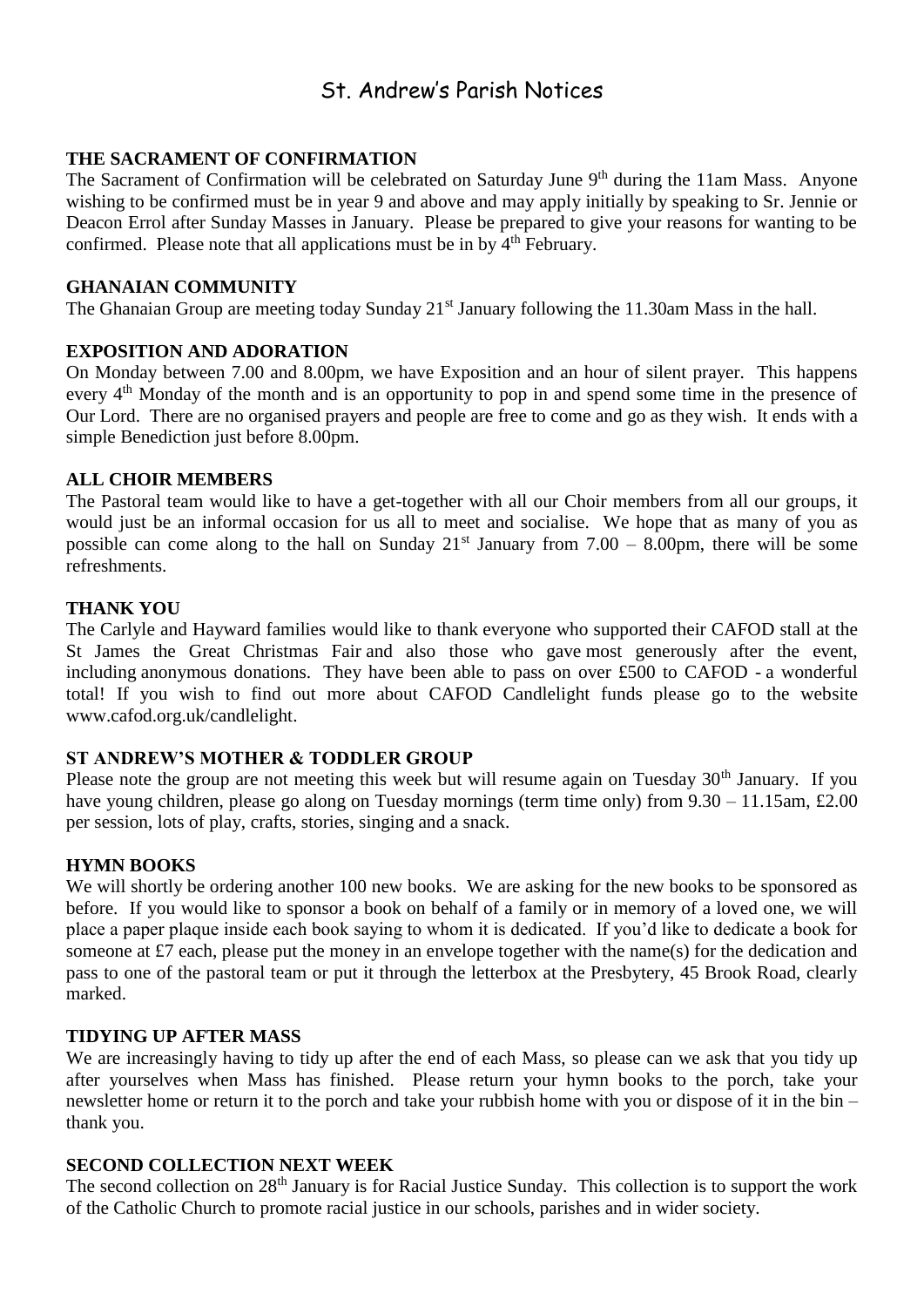## St. Andrew's Parish Notices

#### **THE SACRAMENT OF CONFIRMATION**

The Sacrament of Confirmation will be celebrated on Saturday June 9<sup>th</sup> during the 11am Mass. Anyone wishing to be confirmed must be in year 9 and above and may apply initially by speaking to Sr. Jennie or Deacon Errol after Sunday Masses in January. Please be prepared to give your reasons for wanting to be confirmed. Please note that all applications must be in by 4<sup>th</sup> February.

#### **GHANAIAN COMMUNITY**

The Ghanaian Group are meeting today Sunday 21<sup>st</sup> January following the 11.30am Mass in the hall.

#### **EXPOSITION AND ADORATION**

On Monday between 7.00 and 8.00pm, we have Exposition and an hour of silent prayer. This happens every 4<sup>th</sup> Monday of the month and is an opportunity to pop in and spend some time in the presence of Our Lord. There are no organised prayers and people are free to come and go as they wish. It ends with a simple Benediction just before 8.00pm.

#### **ALL CHOIR MEMBERS**

The Pastoral team would like to have a get-together with all our Choir members from all our groups, it would just be an informal occasion for us all to meet and socialise. We hope that as many of you as possible can come along to the hall on Sunday  $21<sup>st</sup>$  January from 7.00 – 8.00pm, there will be some refreshments.

#### **THANK YOU**

The Carlyle and Hayward families would like to thank everyone who supported their CAFOD stall at the St James the Great Christmas Fair and also those who gave most generously after the event, including anonymous donations. They have been able to pass on over £500 to CAFOD - a wonderful total! If you wish to find out more about CAFOD Candlelight funds please go to the website [www.cafod.org.uk/candlelight.](http://www.cafod.org.uk/candlelight)

#### **ST ANDREW'S MOTHER & TODDLER GROUP**

Please note the group are not meeting this week but will resume again on Tuesday 30<sup>th</sup> January. If you have young children, please go along on Tuesday mornings (term time only) from  $9.30 - 11.15$ am, £2.00 per session, lots of play, crafts, stories, singing and a snack.

#### **HYMN BOOKS**

We will shortly be ordering another 100 new books. We are asking for the new books to be sponsored as before. If you would like to sponsor a book on behalf of a family or in memory of a loved one, we will place a paper plaque inside each book saying to whom it is dedicated. If you'd like to dedicate a book for someone at £7 each, please put the money in an envelope together with the name(s) for the dedication and pass to one of the pastoral team or put it through the letterbox at the Presbytery, 45 Brook Road, clearly marked.

#### **TIDYING UP AFTER MASS**

We are increasingly having to tidy up after the end of each Mass, so please can we ask that you tidy up after yourselves when Mass has finished. Please return your hymn books to the porch, take your newsletter home or return it to the porch and take your rubbish home with you or dispose of it in the bin – thank you.

#### **SECOND COLLECTION NEXT WEEK**

The second collection on 28<sup>th</sup> January is for Racial Justice Sunday. This collection is to support the work of the Catholic Church to promote racial justice in our schools, parishes and in wider society.